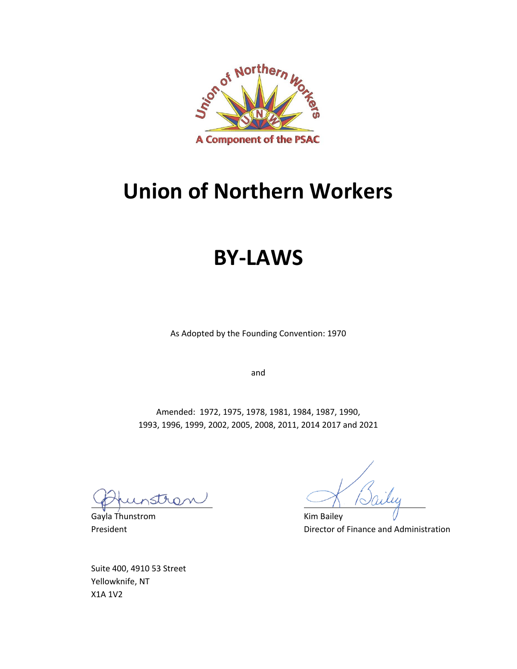

# **Union of Northern Workers**

# **BY-LAWS**

As Adopted by the Founding Convention: 1970

and

Amended: 1972, 1975, 1978, 1981, 1984, 1987, 1990, 1993, 1996, 1999, 2002, 2005, 2008, 2011, 2014 2017 and 2021

tro

Gayla Thunstrom **Kim Bailey** 

President **President** Director of Finance and Administration

Suite 400, 4910 53 Street Yellowknife, NT X1A 1V2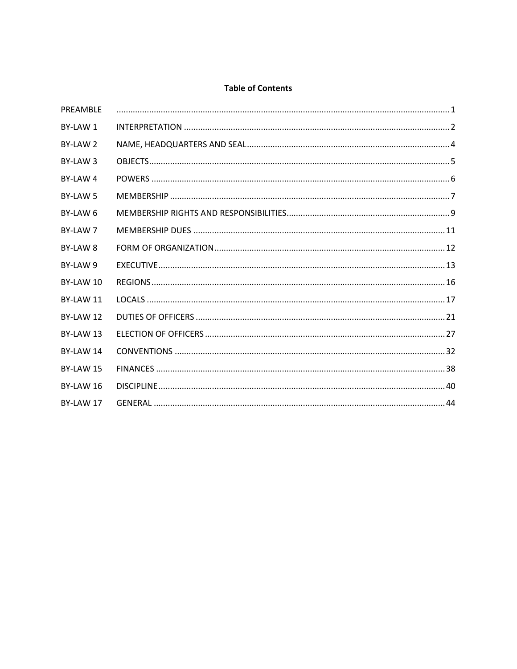#### **Table of Contents**

| PREAMBLE  |  |
|-----------|--|
| BY-LAW 1  |  |
| BY-LAW 2  |  |
| BY-LAW 3  |  |
| BY-LAW 4  |  |
| BY-LAW 5  |  |
| BY-LAW 6  |  |
| BY-LAW 7  |  |
| BY-LAW 8  |  |
| BY-LAW 9  |  |
| BY-LAW 10 |  |
| BY-LAW 11 |  |
| BY-LAW 12 |  |
| BY-LAW 13 |  |
| BY-LAW 14 |  |
| BY-LAW 15 |  |
| BY-LAW 16 |  |
| BY-LAW 17 |  |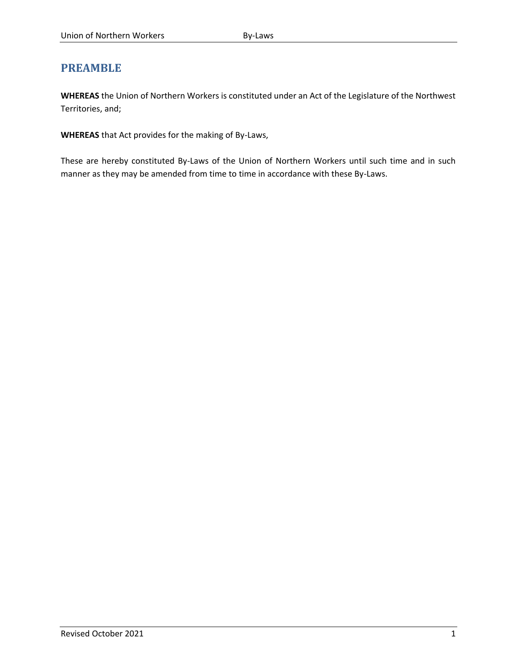# <span id="page-3-0"></span>**PREAMBLE**

**WHEREAS** the Union of Northern Workers is constituted under an Act of the Legislature of the Northwest Territories, and;

**WHEREAS** that Act provides for the making of By-Laws,

These are hereby constituted By-Laws of the Union of Northern Workers until such time and in such manner as they may be amended from time to time in accordance with these By-Laws.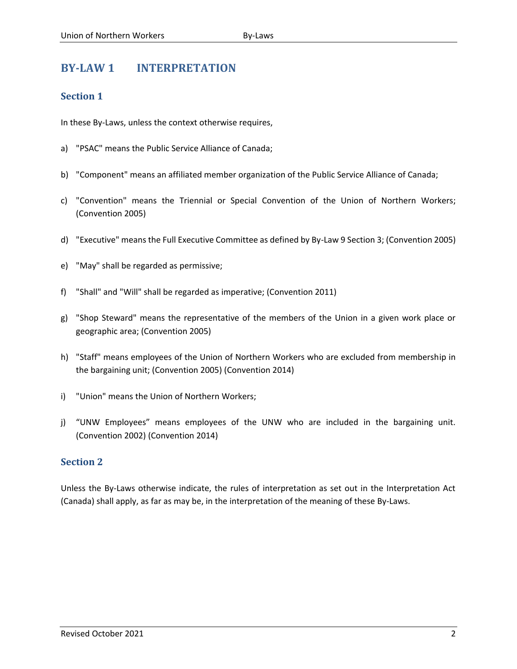# <span id="page-4-0"></span>**BY-LAW 1 INTERPRETATION**

# **Section 1**

In these By-Laws, unless the context otherwise requires,

- a) "PSAC" means the Public Service Alliance of Canada;
- b) "Component" means an affiliated member organization of the Public Service Alliance of Canada;
- c) "Convention" means the Triennial or Special Convention of the Union of Northern Workers; (Convention 2005)
- d) "Executive" means the Full Executive Committee as defined by By-Law 9 Section 3; (Convention 2005)
- e) "May" shall be regarded as permissive;
- f) "Shall" and "Will" shall be regarded as imperative; (Convention 2011)
- g) "Shop Steward" means the representative of the members of the Union in a given work place or geographic area; (Convention 2005)
- h) "Staff" means employees of the Union of Northern Workers who are excluded from membership in the bargaining unit; (Convention 2005) (Convention 2014)
- i) "Union" means the Union of Northern Workers;
- j) "UNW Employees" means employees of the UNW who are included in the bargaining unit. (Convention 2002) (Convention 2014)

# **Section 2**

Unless the By-Laws otherwise indicate, the rules of interpretation as set out in the Interpretation Act (Canada) shall apply, as far as may be, in the interpretation of the meaning of these By-Laws.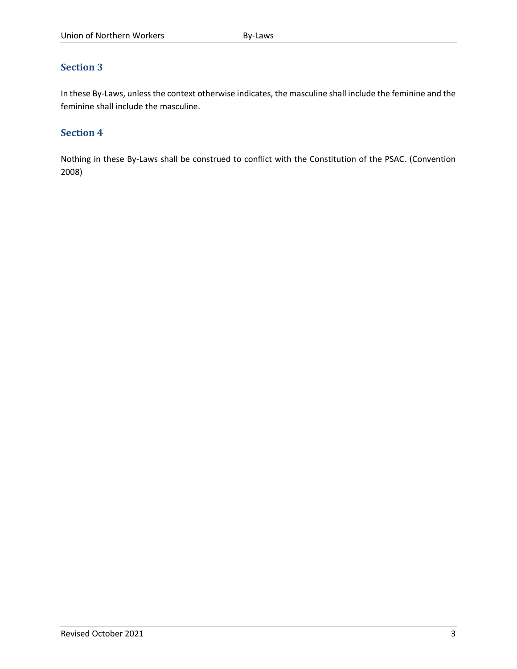In these By-Laws, unless the context otherwise indicates, the masculine shall include the feminine and the feminine shall include the masculine.

# **Section 4**

Nothing in these By-Laws shall be construed to conflict with the Constitution of the PSAC. (Convention 2008)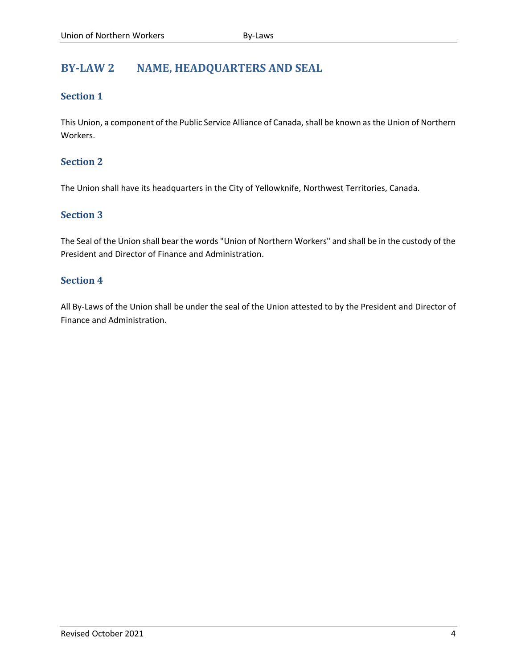# <span id="page-6-0"></span>**BY-LAW 2 NAME, HEADQUARTERS AND SEAL**

# **Section 1**

This Union, a component of the Public Service Alliance of Canada, shall be known as the Union of Northern Workers.

# **Section 2**

The Union shall have its headquarters in the City of Yellowknife, Northwest Territories, Canada.

# **Section 3**

The Seal of the Union shall bear the words "Union of Northern Workers" and shall be in the custody of the President and Director of Finance and Administration.

# **Section 4**

All By-Laws of the Union shall be under the seal of the Union attested to by the President and Director of Finance and Administration.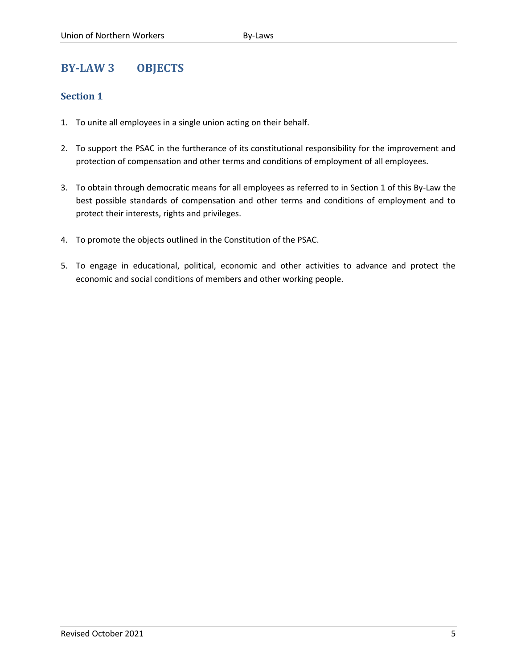# <span id="page-7-0"></span>**BY-LAW 3 OBJECTS**

- 1. To unite all employees in a single union acting on their behalf.
- 2. To support the PSAC in the furtherance of its constitutional responsibility for the improvement and protection of compensation and other terms and conditions of employment of all employees.
- 3. To obtain through democratic means for all employees as referred to in Section 1 of this By-Law the best possible standards of compensation and other terms and conditions of employment and to protect their interests, rights and privileges.
- 4. To promote the objects outlined in the Constitution of the PSAC.
- 5. To engage in educational, political, economic and other activities to advance and protect the economic and social conditions of members and other working people.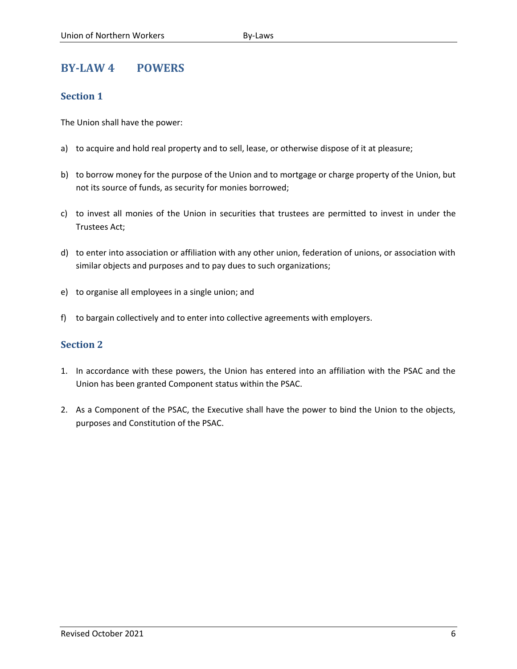# <span id="page-8-0"></span>**BY-LAW 4 POWERS**

# **Section 1**

The Union shall have the power:

- a) to acquire and hold real property and to sell, lease, or otherwise dispose of it at pleasure;
- b) to borrow money for the purpose of the Union and to mortgage or charge property of the Union, but not its source of funds, as security for monies borrowed;
- c) to invest all monies of the Union in securities that trustees are permitted to invest in under the Trustees Act;
- d) to enter into association or affiliation with any other union, federation of unions, or association with similar objects and purposes and to pay dues to such organizations;
- e) to organise all employees in a single union; and
- f) to bargain collectively and to enter into collective agreements with employers.

- 1. In accordance with these powers, the Union has entered into an affiliation with the PSAC and the Union has been granted Component status within the PSAC.
- 2. As a Component of the PSAC, the Executive shall have the power to bind the Union to the objects, purposes and Constitution of the PSAC.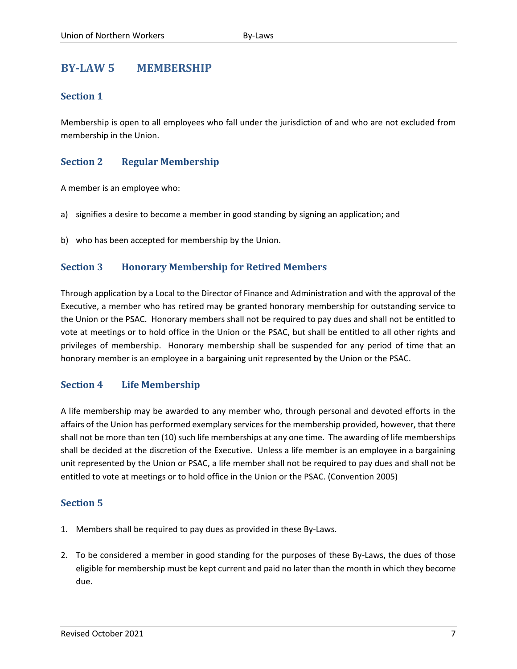# <span id="page-9-0"></span>**BY-LAW 5 MEMBERSHIP**

# **Section 1**

Membership is open to all employees who fall under the jurisdiction of and who are not excluded from membership in the Union.

# **Section 2 Regular Membership**

A member is an employee who:

- a) signifies a desire to become a member in good standing by signing an application; and
- b) who has been accepted for membership by the Union.

# **Section 3 Honorary Membership for Retired Members**

Through application by a Local to the Director of Finance and Administration and with the approval of the Executive, a member who has retired may be granted honorary membership for outstanding service to the Union or the PSAC. Honorary members shall not be required to pay dues and shall not be entitled to vote at meetings or to hold office in the Union or the PSAC, but shall be entitled to all other rights and privileges of membership. Honorary membership shall be suspended for any period of time that an honorary member is an employee in a bargaining unit represented by the Union or the PSAC.

# **Section 4 Life Membership**

A life membership may be awarded to any member who, through personal and devoted efforts in the affairs of the Union has performed exemplary services for the membership provided, however, that there shall not be more than ten (10) such life memberships at any one time. The awarding of life memberships shall be decided at the discretion of the Executive. Unless a life member is an employee in a bargaining unit represented by the Union or PSAC, a life member shall not be required to pay dues and shall not be entitled to vote at meetings or to hold office in the Union or the PSAC. (Convention 2005)

- 1. Members shall be required to pay dues as provided in these By-Laws.
- 2. To be considered a member in good standing for the purposes of these By-Laws, the dues of those eligible for membership must be kept current and paid no later than the month in which they become due.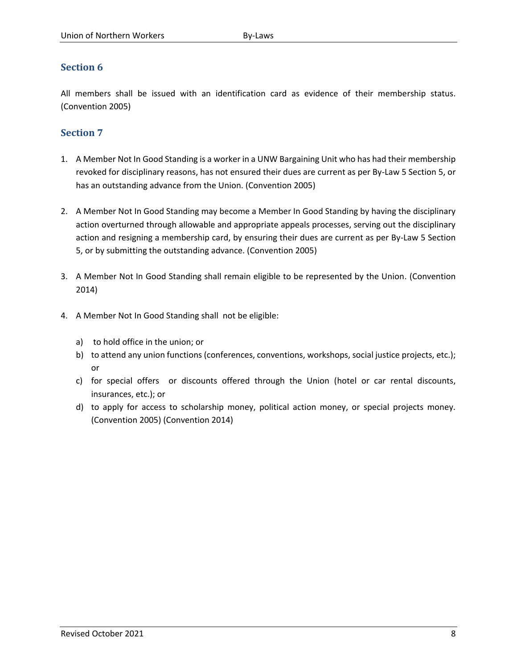All members shall be issued with an identification card as evidence of their membership status. (Convention 2005)

- 1. A Member Not In Good Standing is a worker in a UNW Bargaining Unit who has had their membership revoked for disciplinary reasons, has not ensured their dues are current as per By-Law 5 Section 5, or has an outstanding advance from the Union. (Convention 2005)
- 2. A Member Not In Good Standing may become a Member In Good Standing by having the disciplinary action overturned through allowable and appropriate appeals processes, serving out the disciplinary action and resigning a membership card, by ensuring their dues are current as per By-Law 5 Section 5, or by submitting the outstanding advance. (Convention 2005)
- 3. A Member Not In Good Standing shall remain eligible to be represented by the Union. (Convention 2014)
- 4. A Member Not In Good Standing shall not be eligible:
	- a) to hold office in the union; or
	- b) to attend any union functions (conferences, conventions, workshops, social justice projects, etc.); or
	- c) for special offers or discounts offered through the Union (hotel or car rental discounts, insurances, etc.); or
	- d) to apply for access to scholarship money, political action money, or special projects money. (Convention 2005) (Convention 2014)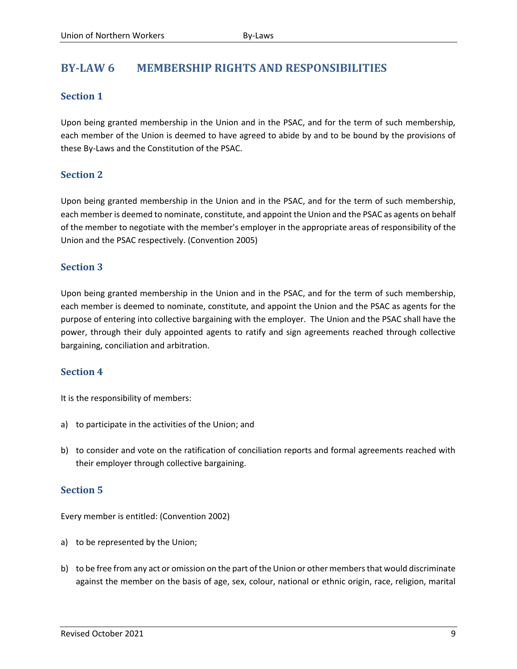# <span id="page-11-0"></span>**BY-LAW 6 MEMBERSHIP RIGHTS AND RESPONSIBILITIES**

# **Section 1**

Upon being granted membership in the Union and in the PSAC, and for the term of such membership, each member of the Union is deemed to have agreed to abide by and to be bound by the provisions of these By-Laws and the Constitution of the PSAC.

# **Section 2**

Upon being granted membership in the Union and in the PSAC, and for the term of such membership, each member is deemed to nominate, constitute, and appoint the Union and the PSAC as agents on behalf of the member to negotiate with the member's employer in the appropriate areas of responsibility of the Union and the PSAC respectively. (Convention 2005)

# **Section 3**

Upon being granted membership in the Union and in the PSAC, and for the term of such membership, each member is deemed to nominate, constitute, and appoint the Union and the PSAC as agents for the purpose of entering into collective bargaining with the employer. The Union and the PSAC shall have the power, through their duly appointed agents to ratify and sign agreements reached through collective bargaining, conciliation and arbitration.

# **Section 4**

It is the responsibility of members:

- a) to participate in the activities of the Union; and
- b) to consider and vote on the ratification of conciliation reports and formal agreements reached with their employer through collective bargaining.

# **Section 5**

Every member is entitled: (Convention 2002)

- a) to be represented by the Union;
- b) to be free from any act or omission on the part of the Union or other members that would discriminate against the member on the basis of age, sex, colour, national or ethnic origin, race, religion, marital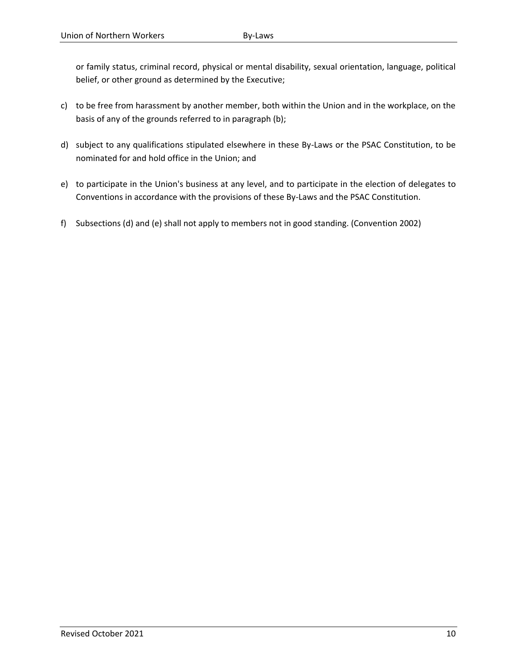or family status, criminal record, physical or mental disability, sexual orientation, language, political belief, or other ground as determined by the Executive;

- c) to be free from harassment by another member, both within the Union and in the workplace, on the basis of any of the grounds referred to in paragraph (b);
- d) subject to any qualifications stipulated elsewhere in these By-Laws or the PSAC Constitution, to be nominated for and hold office in the Union; and
- e) to participate in the Union's business at any level, and to participate in the election of delegates to Conventions in accordance with the provisions of these By-Laws and the PSAC Constitution.
- f) Subsections (d) and (e) shall not apply to members not in good standing. (Convention 2002)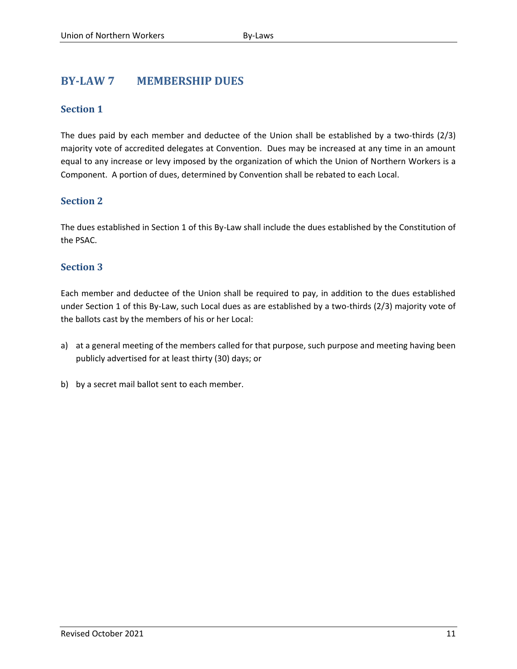# <span id="page-13-0"></span>**BY-LAW 7 MEMBERSHIP DUES**

# **Section 1**

The dues paid by each member and deductee of the Union shall be established by a two-thirds (2/3) majority vote of accredited delegates at Convention. Dues may be increased at any time in an amount equal to any increase or levy imposed by the organization of which the Union of Northern Workers is a Component. A portion of dues, determined by Convention shall be rebated to each Local.

# **Section 2**

The dues established in Section 1 of this By-Law shall include the dues established by the Constitution of the PSAC.

# **Section 3**

Each member and deductee of the Union shall be required to pay, in addition to the dues established under Section 1 of this By-Law, such Local dues as are established by a two-thirds (2/3) majority vote of the ballots cast by the members of his or her Local:

- a) at a general meeting of the members called for that purpose, such purpose and meeting having been publicly advertised for at least thirty (30) days; or
- b) by a secret mail ballot sent to each member.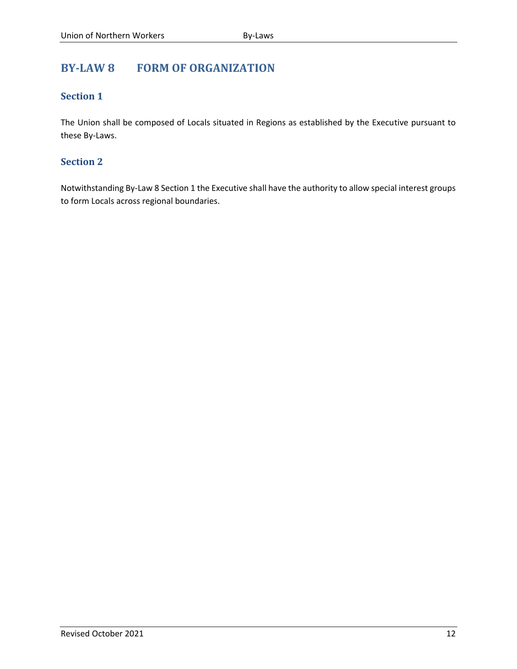# <span id="page-14-0"></span>**BY-LAW 8 FORM OF ORGANIZATION**

# **Section 1**

The Union shall be composed of Locals situated in Regions as established by the Executive pursuant to these By-Laws.

# **Section 2**

Notwithstanding By-Law 8 Section 1 the Executive shall have the authority to allow special interest groups to form Locals across regional boundaries.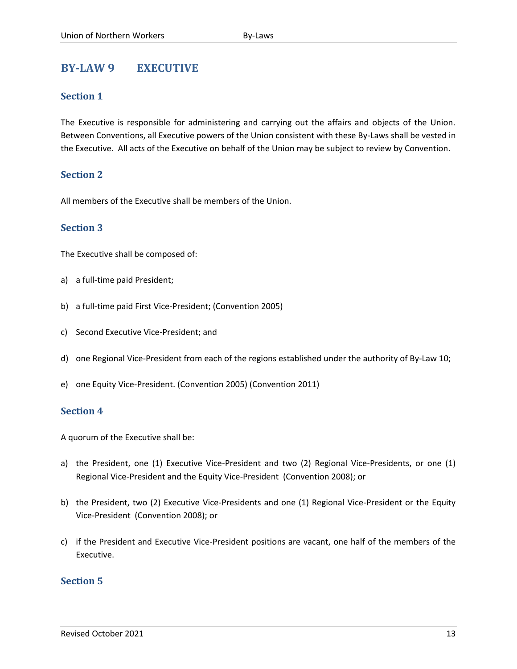# <span id="page-15-0"></span>**BY-LAW 9 EXECUTIVE**

#### **Section 1**

The Executive is responsible for administering and carrying out the affairs and objects of the Union. Between Conventions, all Executive powers of the Union consistent with these By-Laws shall be vested in the Executive. All acts of the Executive on behalf of the Union may be subject to review by Convention.

#### **Section 2**

All members of the Executive shall be members of the Union.

#### **Section 3**

The Executive shall be composed of:

- a) a full-time paid President;
- b) a full-time paid First Vice-President; (Convention 2005)
- c) Second Executive Vice-President; and
- d) one Regional Vice-President from each of the regions established under the authority of By-Law 10;
- e) one Equity Vice-President. (Convention 2005) (Convention 2011)

#### **Section 4**

A quorum of the Executive shall be:

- a) the President, one (1) Executive Vice-President and two (2) Regional Vice-Presidents, or one (1) Regional Vice-President and the Equity Vice-President (Convention 2008); or
- b) the President, two (2) Executive Vice-Presidents and one (1) Regional Vice-President or the Equity Vice-President (Convention 2008); or
- c) if the President and Executive Vice-President positions are vacant, one half of the members of the Executive.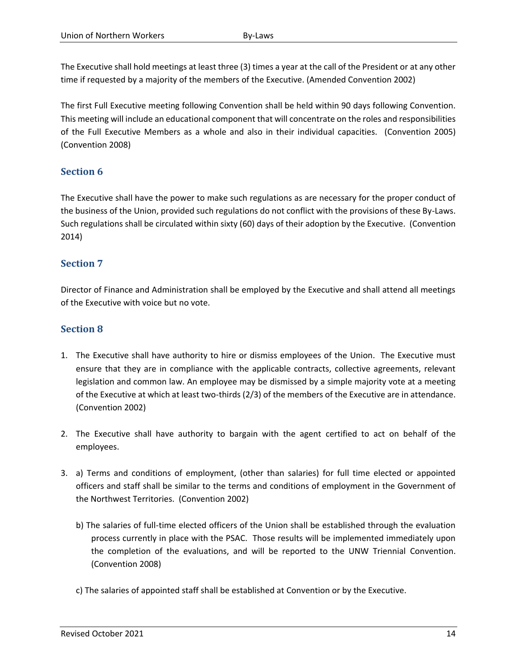The Executive shall hold meetings at least three (3) times a year at the call of the President or at any other time if requested by a majority of the members of the Executive. (Amended Convention 2002)

The first Full Executive meeting following Convention shall be held within 90 days following Convention. This meeting will include an educational component that will concentrate on the roles and responsibilities of the Full Executive Members as a whole and also in their individual capacities. (Convention 2005) (Convention 2008)

# **Section 6**

The Executive shall have the power to make such regulations as are necessary for the proper conduct of the business of the Union, provided such regulations do not conflict with the provisions of these By-Laws. Such regulations shall be circulated within sixty (60) days of their adoption by the Executive. (Convention 2014)

# **Section 7**

Director of Finance and Administration shall be employed by the Executive and shall attend all meetings of the Executive with voice but no vote.

- 1. The Executive shall have authority to hire or dismiss employees of the Union. The Executive must ensure that they are in compliance with the applicable contracts, collective agreements, relevant legislation and common law. An employee may be dismissed by a simple majority vote at a meeting of the Executive at which at least two-thirds (2/3) of the members of the Executive are in attendance. (Convention 2002)
- 2. The Executive shall have authority to bargain with the agent certified to act on behalf of the employees.
- 3. a) Terms and conditions of employment, (other than salaries) for full time elected or appointed officers and staff shall be similar to the terms and conditions of employment in the Government of the Northwest Territories. (Convention 2002)
	- b) The salaries of full-time elected officers of the Union shall be established through the evaluation process currently in place with the PSAC. Those results will be implemented immediately upon the completion of the evaluations, and will be reported to the UNW Triennial Convention. (Convention 2008)
	- c) The salaries of appointed staff shall be established at Convention or by the Executive.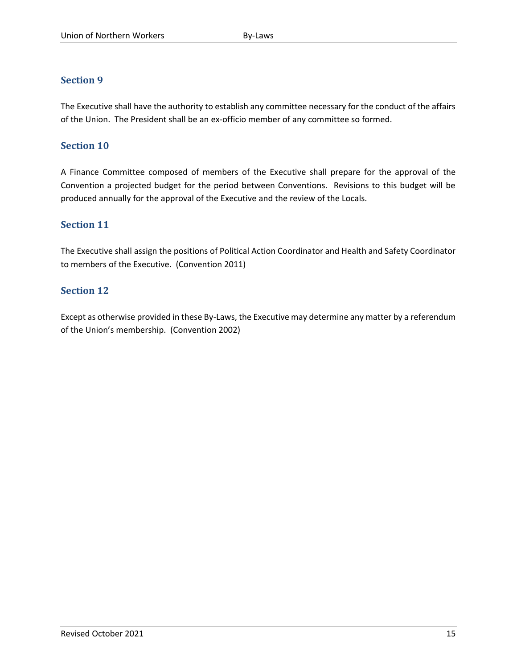The Executive shall have the authority to establish any committee necessary for the conduct of the affairs of the Union. The President shall be an ex-officio member of any committee so formed.

# **Section 10**

A Finance Committee composed of members of the Executive shall prepare for the approval of the Convention a projected budget for the period between Conventions. Revisions to this budget will be produced annually for the approval of the Executive and the review of the Locals.

# **Section 11**

The Executive shall assign the positions of Political Action Coordinator and Health and Safety Coordinator to members of the Executive. (Convention 2011)

# **Section 12**

Except as otherwise provided in these By-Laws, the Executive may determine any matter by a referendum of the Union's membership. (Convention 2002)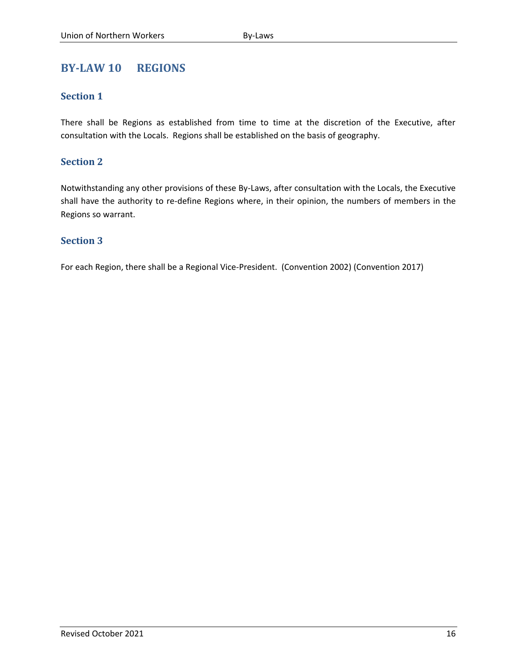# <span id="page-18-0"></span>**BY-LAW 10 REGIONS**

# **Section 1**

There shall be Regions as established from time to time at the discretion of the Executive, after consultation with the Locals. Regions shall be established on the basis of geography.

# **Section 2**

Notwithstanding any other provisions of these By-Laws, after consultation with the Locals, the Executive shall have the authority to re-define Regions where, in their opinion, the numbers of members in the Regions so warrant.

# **Section 3**

For each Region, there shall be a Regional Vice-President. (Convention 2002) (Convention 2017)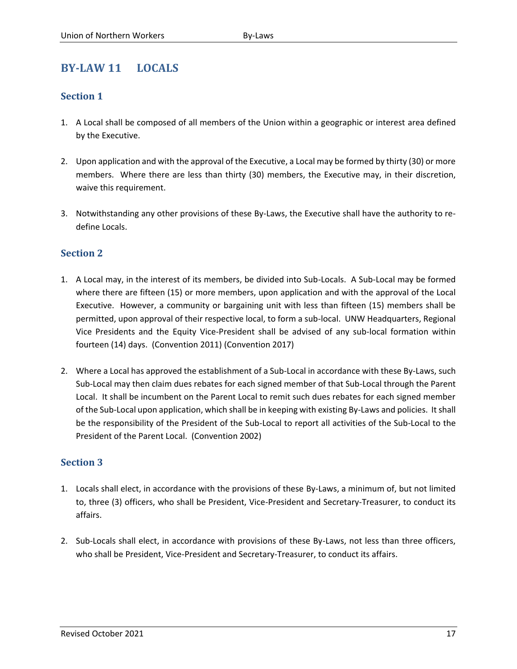# <span id="page-19-0"></span>**BY-LAW 11 LOCALS**

# **Section 1**

- 1. A Local shall be composed of all members of the Union within a geographic or interest area defined by the Executive.
- 2. Upon application and with the approval of the Executive, a Local may be formed by thirty (30) or more members. Where there are less than thirty (30) members, the Executive may, in their discretion, waive this requirement.
- 3. Notwithstanding any other provisions of these By-Laws, the Executive shall have the authority to redefine Locals.

# **Section 2**

- 1. A Local may, in the interest of its members, be divided into Sub-Locals. A Sub-Local may be formed where there are fifteen (15) or more members, upon application and with the approval of the Local Executive. However, a community or bargaining unit with less than fifteen (15) members shall be permitted, upon approval of their respective local, to form a sub-local. UNW Headquarters, Regional Vice Presidents and the Equity Vice-President shall be advised of any sub-local formation within fourteen (14) days. (Convention 2011) (Convention 2017)
- 2. Where a Local has approved the establishment of a Sub-Local in accordance with these By-Laws, such Sub-Local may then claim dues rebates for each signed member of that Sub-Local through the Parent Local. It shall be incumbent on the Parent Local to remit such dues rebates for each signed member of the Sub-Local upon application, which shall be in keeping with existing By-Laws and policies. It shall be the responsibility of the President of the Sub-Local to report all activities of the Sub-Local to the President of the Parent Local. (Convention 2002)

- 1. Locals shall elect, in accordance with the provisions of these By-Laws, a minimum of, but not limited to, three (3) officers, who shall be President, Vice-President and Secretary-Treasurer, to conduct its affairs.
- 2. Sub-Locals shall elect, in accordance with provisions of these By-Laws, not less than three officers, who shall be President, Vice-President and Secretary-Treasurer, to conduct its affairs.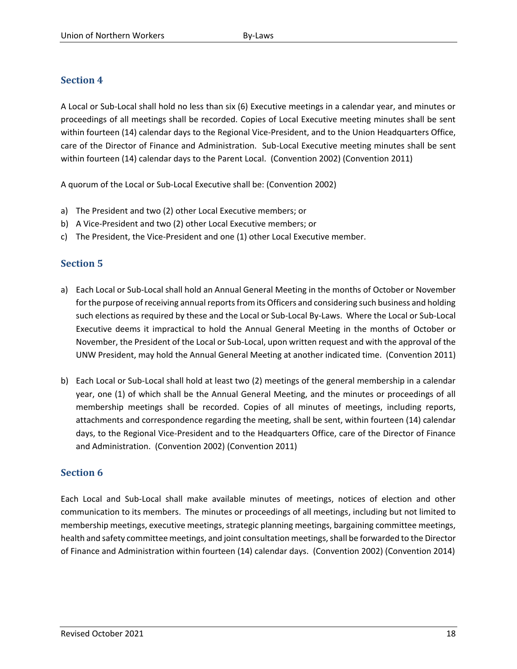A Local or Sub-Local shall hold no less than six (6) Executive meetings in a calendar year, and minutes or proceedings of all meetings shall be recorded. Copies of Local Executive meeting minutes shall be sent within fourteen (14) calendar days to the Regional Vice-President, and to the Union Headquarters Office, care of the Director of Finance and Administration. Sub-Local Executive meeting minutes shall be sent within fourteen (14) calendar days to the Parent Local. (Convention 2002) (Convention 2011)

A quorum of the Local or Sub-Local Executive shall be: (Convention 2002)

- a) The President and two (2) other Local Executive members; or
- b) A Vice-President and two (2) other Local Executive members; or
- c) The President, the Vice-President and one (1) other Local Executive member.

# **Section 5**

- a) Each Local or Sub-Local shall hold an Annual General Meeting in the months of October or November for the purpose of receiving annual reports from its Officers and considering such business and holding such elections as required by these and the Local or Sub-Local By-Laws. Where the Local or Sub-Local Executive deems it impractical to hold the Annual General Meeting in the months of October or November, the President of the Local or Sub-Local, upon written request and with the approval of the UNW President, may hold the Annual General Meeting at another indicated time. (Convention 2011)
- b) Each Local or Sub-Local shall hold at least two (2) meetings of the general membership in a calendar year, one (1) of which shall be the Annual General Meeting, and the minutes or proceedings of all membership meetings shall be recorded. Copies of all minutes of meetings, including reports, attachments and correspondence regarding the meeting, shall be sent, within fourteen (14) calendar days, to the Regional Vice-President and to the Headquarters Office, care of the Director of Finance and Administration. (Convention 2002) (Convention 2011)

#### **Section 6**

Each Local and Sub-Local shall make available minutes of meetings, notices of election and other communication to its members. The minutes or proceedings of all meetings, including but not limited to membership meetings, executive meetings, strategic planning meetings, bargaining committee meetings, health and safety committee meetings, and joint consultation meetings, shall be forwarded to the Director of Finance and Administration within fourteen (14) calendar days. (Convention 2002) (Convention 2014)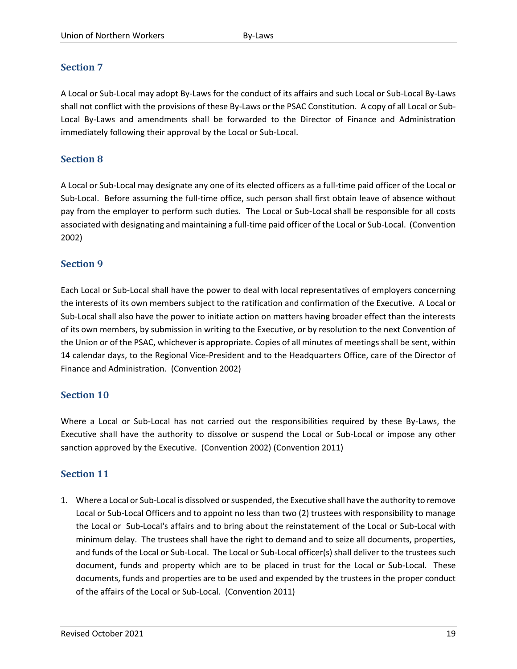A Local or Sub-Local may adopt By-Laws for the conduct of its affairs and such Local or Sub-Local By-Laws shall not conflict with the provisions of these By-Laws or the PSAC Constitution. A copy of all Local or Sub-Local By-Laws and amendments shall be forwarded to the Director of Finance and Administration immediately following their approval by the Local or Sub-Local.

# **Section 8**

A Local or Sub-Local may designate any one of its elected officers as a full-time paid officer of the Local or Sub-Local. Before assuming the full-time office, such person shall first obtain leave of absence without pay from the employer to perform such duties. The Local or Sub-Local shall be responsible for all costs associated with designating and maintaining a full-time paid officer of the Local or Sub-Local. (Convention 2002)

#### **Section 9**

Each Local or Sub-Local shall have the power to deal with local representatives of employers concerning the interests of its own members subject to the ratification and confirmation of the Executive. A Local or Sub-Local shall also have the power to initiate action on matters having broader effect than the interests of its own members, by submission in writing to the Executive, or by resolution to the next Convention of the Union or of the PSAC, whichever is appropriate. Copies of all minutes of meetings shall be sent, within 14 calendar days, to the Regional Vice-President and to the Headquarters Office, care of the Director of Finance and Administration. (Convention 2002)

# **Section 10**

Where a Local or Sub-Local has not carried out the responsibilities required by these By-Laws, the Executive shall have the authority to dissolve or suspend the Local or Sub-Local or impose any other sanction approved by the Executive. (Convention 2002) (Convention 2011)

# **Section 11**

1. Where a Local or Sub-Local is dissolved or suspended, the Executive shall have the authority to remove Local or Sub-Local Officers and to appoint no less than two (2) trustees with responsibility to manage the Local or Sub-Local's affairs and to bring about the reinstatement of the Local or Sub-Local with minimum delay. The trustees shall have the right to demand and to seize all documents, properties, and funds of the Local or Sub-Local. The Local or Sub-Local officer(s) shall deliver to the trustees such document, funds and property which are to be placed in trust for the Local or Sub-Local. These documents, funds and properties are to be used and expended by the trustees in the proper conduct of the affairs of the Local or Sub-Local. (Convention 2011)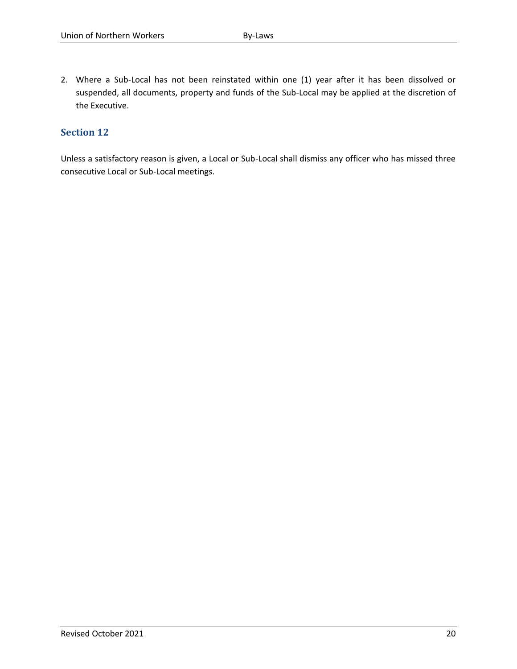2. Where a Sub-Local has not been reinstated within one (1) year after it has been dissolved or suspended, all documents, property and funds of the Sub-Local may be applied at the discretion of the Executive.

# **Section 12**

Unless a satisfactory reason is given, a Local or Sub-Local shall dismiss any officer who has missed three consecutive Local or Sub-Local meetings.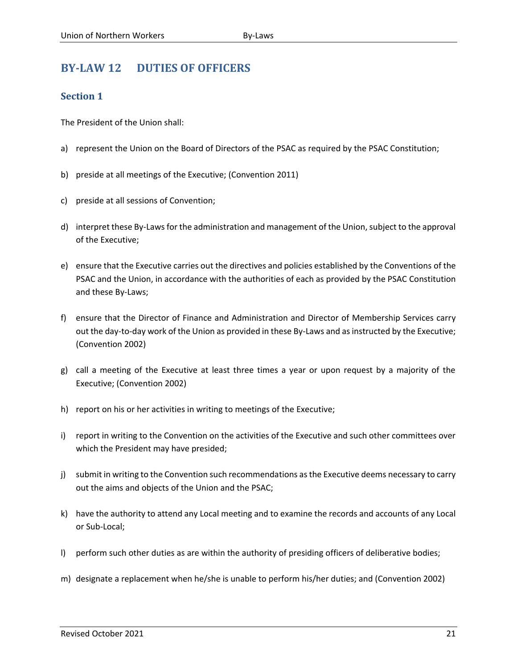# <span id="page-23-0"></span>**BY-LAW 12 DUTIES OF OFFICERS**

# **Section 1**

The President of the Union shall:

- a) represent the Union on the Board of Directors of the PSAC as required by the PSAC Constitution;
- b) preside at all meetings of the Executive; (Convention 2011)
- c) preside at all sessions of Convention;
- d) interpret these By-Laws for the administration and management of the Union, subject to the approval of the Executive;
- e) ensure that the Executive carries out the directives and policies established by the Conventions of the PSAC and the Union, in accordance with the authorities of each as provided by the PSAC Constitution and these By-Laws;
- f) ensure that the Director of Finance and Administration and Director of Membership Services carry out the day-to-day work of the Union as provided in these By-Laws and as instructed by the Executive; (Convention 2002)
- g) call a meeting of the Executive at least three times a year or upon request by a majority of the Executive; (Convention 2002)
- h) report on his or her activities in writing to meetings of the Executive;
- i) report in writing to the Convention on the activities of the Executive and such other committees over which the President may have presided;
- j) submit in writing to the Convention such recommendations as the Executive deems necessary to carry out the aims and objects of the Union and the PSAC;
- k) have the authority to attend any Local meeting and to examine the records and accounts of any Local or Sub-Local;
- l) perform such other duties as are within the authority of presiding officers of deliberative bodies;
- m) designate a replacement when he/she is unable to perform his/her duties; and (Convention 2002)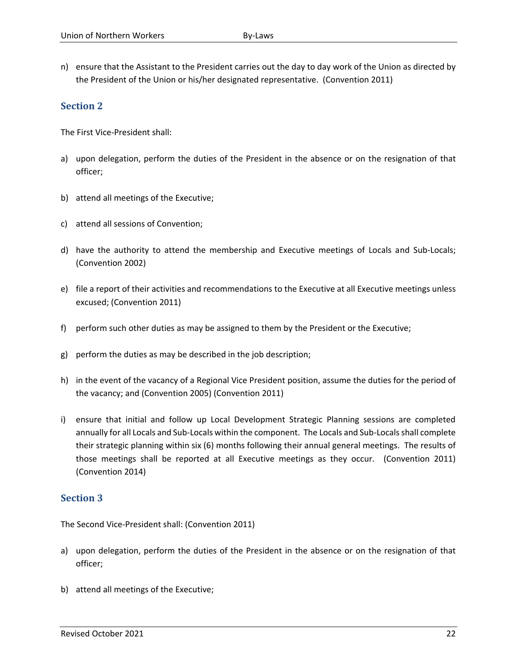n) ensure that the Assistant to the President carries out the day to day work of the Union as directed by the President of the Union or his/her designated representative. (Convention 2011)

# **Section 2**

The First Vice-President shall:

- a) upon delegation, perform the duties of the President in the absence or on the resignation of that officer;
- b) attend all meetings of the Executive;
- c) attend all sessions of Convention;
- d) have the authority to attend the membership and Executive meetings of Locals and Sub-Locals; (Convention 2002)
- e) file a report of their activities and recommendations to the Executive at all Executive meetings unless excused; (Convention 2011)
- f) perform such other duties as may be assigned to them by the President or the Executive;
- g) perform the duties as may be described in the job description;
- h) in the event of the vacancy of a Regional Vice President position, assume the duties for the period of the vacancy; and (Convention 2005) (Convention 2011)
- i) ensure that initial and follow up Local Development Strategic Planning sessions are completed annually for all Locals and Sub-Locals within the component. The Locals and Sub-Locals shall complete their strategic planning within six (6) months following their annual general meetings. The results of those meetings shall be reported at all Executive meetings as they occur. (Convention 2011) (Convention 2014)

#### **Section 3**

The Second Vice-President shall: (Convention 2011)

- a) upon delegation, perform the duties of the President in the absence or on the resignation of that officer;
- b) attend all meetings of the Executive;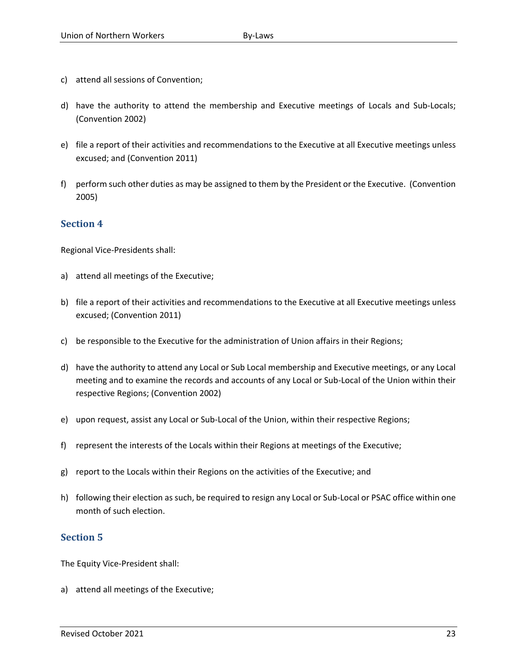- c) attend all sessions of Convention;
- d) have the authority to attend the membership and Executive meetings of Locals and Sub-Locals; (Convention 2002)
- e) file a report of their activities and recommendations to the Executive at all Executive meetings unless excused; and (Convention 2011)
- f) perform such other duties as may be assigned to them by the President or the Executive. (Convention 2005)

Regional Vice-Presidents shall:

- a) attend all meetings of the Executive;
- b) file a report of their activities and recommendations to the Executive at all Executive meetings unless excused; (Convention 2011)
- c) be responsible to the Executive for the administration of Union affairs in their Regions;
- d) have the authority to attend any Local or Sub Local membership and Executive meetings, or any Local meeting and to examine the records and accounts of any Local or Sub-Local of the Union within their respective Regions; (Convention 2002)
- e) upon request, assist any Local or Sub-Local of the Union, within their respective Regions;
- f) represent the interests of the Locals within their Regions at meetings of the Executive;
- g) report to the Locals within their Regions on the activities of the Executive; and
- h) following their election as such, be required to resign any Local or Sub-Local or PSAC office within one month of such election.

# **Section 5**

The Equity Vice-President shall:

a) attend all meetings of the Executive;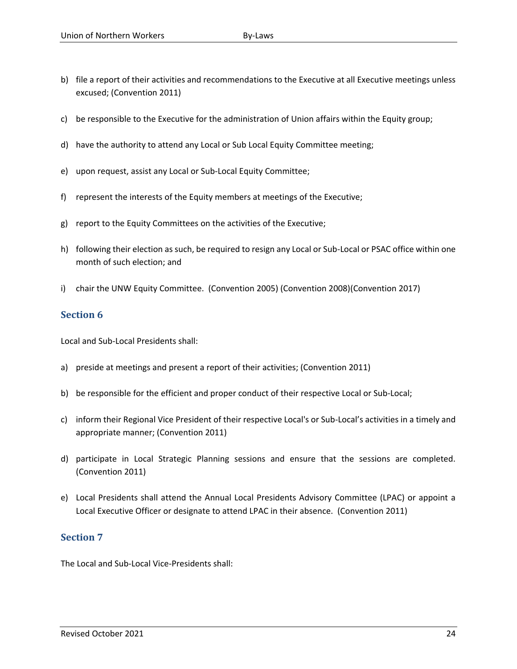- b) file a report of their activities and recommendations to the Executive at all Executive meetings unless excused; (Convention 2011)
- c) be responsible to the Executive for the administration of Union affairs within the Equity group;
- d) have the authority to attend any Local or Sub Local Equity Committee meeting;
- e) upon request, assist any Local or Sub-Local Equity Committee;
- f) represent the interests of the Equity members at meetings of the Executive;
- g) report to the Equity Committees on the activities of the Executive;
- h) following their election as such, be required to resign any Local or Sub-Local or PSAC office within one month of such election; and
- i) chair the UNW Equity Committee. (Convention 2005) (Convention 2008)(Convention 2017)

Local and Sub-Local Presidents shall:

- a) preside at meetings and present a report of their activities; (Convention 2011)
- b) be responsible for the efficient and proper conduct of their respective Local or Sub-Local;
- c) inform their Regional Vice President of their respective Local's or Sub-Local's activities in a timely and appropriate manner; (Convention 2011)
- d) participate in Local Strategic Planning sessions and ensure that the sessions are completed. (Convention 2011)
- e) Local Presidents shall attend the Annual Local Presidents Advisory Committee (LPAC) or appoint a Local Executive Officer or designate to attend LPAC in their absence. (Convention 2011)

#### **Section 7**

The Local and Sub-Local Vice-Presidents shall: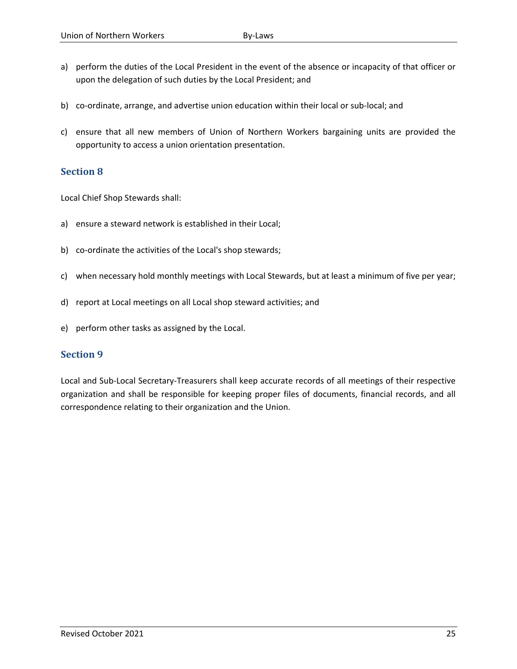- a) perform the duties of the Local President in the event of the absence or incapacity of that officer or upon the delegation of such duties by the Local President; and
- b) co-ordinate, arrange, and advertise union education within their local or sub-local; and
- c) ensure that all new members of Union of Northern Workers bargaining units are provided the opportunity to access a union orientation presentation.

Local Chief Shop Stewards shall:

- a) ensure a steward network is established in their Local;
- b) co-ordinate the activities of the Local's shop stewards;
- c) when necessary hold monthly meetings with Local Stewards, but at least a minimum of five per year;
- d) report at Local meetings on all Local shop steward activities; and
- e) perform other tasks as assigned by the Local.

#### **Section 9**

Local and Sub-Local Secretary-Treasurers shall keep accurate records of all meetings of their respective organization and shall be responsible for keeping proper files of documents, financial records, and all correspondence relating to their organization and the Union.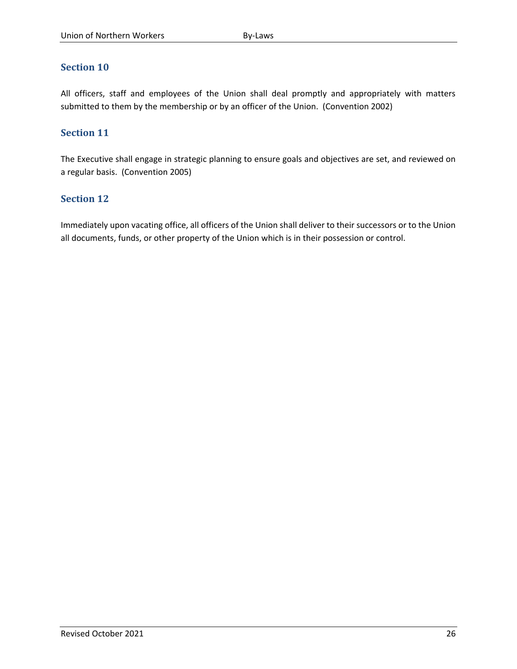All officers, staff and employees of the Union shall deal promptly and appropriately with matters submitted to them by the membership or by an officer of the Union. (Convention 2002)

## **Section 11**

The Executive shall engage in strategic planning to ensure goals and objectives are set, and reviewed on a regular basis. (Convention 2005)

#### **Section 12**

Immediately upon vacating office, all officers of the Union shall deliver to their successors or to the Union all documents, funds, or other property of the Union which is in their possession or control.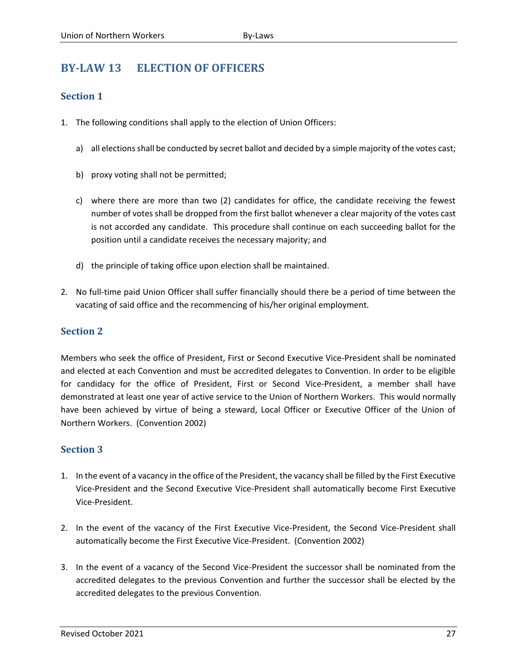# <span id="page-29-0"></span>**BY-LAW 13 ELECTION OF OFFICERS**

# **Section 1**

- 1. The following conditions shall apply to the election of Union Officers:
	- a) all elections shall be conducted by secret ballot and decided by a simple majority of the votes cast;
	- b) proxy voting shall not be permitted;
	- c) where there are more than two (2) candidates for office, the candidate receiving the fewest number of votes shall be dropped from the first ballot whenever a clear majority of the votes cast is not accorded any candidate. This procedure shall continue on each succeeding ballot for the position until a candidate receives the necessary majority; and
	- d) the principle of taking office upon election shall be maintained.
- 2. No full-time paid Union Officer shall suffer financially should there be a period of time between the vacating of said office and the recommencing of his/her original employment.

# **Section 2**

Members who seek the office of President, First or Second Executive Vice-President shall be nominated and elected at each Convention and must be accredited delegates to Convention. In order to be eligible for candidacy for the office of President, First or Second Vice-President, a member shall have demonstrated at least one year of active service to the Union of Northern Workers. This would normally have been achieved by virtue of being a steward, Local Officer or Executive Officer of the Union of Northern Workers. (Convention 2002)

- 1. In the event of a vacancy in the office of the President, the vacancy shall be filled by the First Executive Vice-President and the Second Executive Vice-President shall automatically become First Executive Vice-President.
- 2. In the event of the vacancy of the First Executive Vice-President, the Second Vice-President shall automatically become the First Executive Vice-President. (Convention 2002)
- 3. In the event of a vacancy of the Second Vice-President the successor shall be nominated from the accredited delegates to the previous Convention and further the successor shall be elected by the accredited delegates to the previous Convention.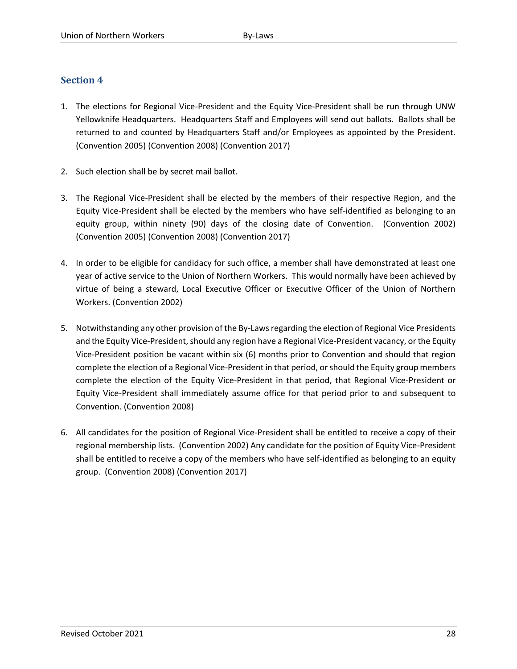- 1. The elections for Regional Vice-President and the Equity Vice-President shall be run through UNW Yellowknife Headquarters. Headquarters Staff and Employees will send out ballots. Ballots shall be returned to and counted by Headquarters Staff and/or Employees as appointed by the President. (Convention 2005) (Convention 2008) (Convention 2017)
- 2. Such election shall be by secret mail ballot.
- 3. The Regional Vice-President shall be elected by the members of their respective Region, and the Equity Vice-President shall be elected by the members who have self-identified as belonging to an equity group, within ninety (90) days of the closing date of Convention. (Convention 2002) (Convention 2005) (Convention 2008) (Convention 2017)
- 4. In order to be eligible for candidacy for such office, a member shall have demonstrated at least one year of active service to the Union of Northern Workers. This would normally have been achieved by virtue of being a steward, Local Executive Officer or Executive Officer of the Union of Northern Workers. (Convention 2002)
- 5. Notwithstanding any other provision of the By-Laws regarding the election of Regional Vice Presidents and the Equity Vice-President, should any region have a Regional Vice-President vacancy, or the Equity Vice-President position be vacant within six (6) months prior to Convention and should that region complete the election of a Regional Vice-President in that period, or should the Equity group members complete the election of the Equity Vice-President in that period, that Regional Vice-President or Equity Vice-President shall immediately assume office for that period prior to and subsequent to Convention. (Convention 2008)
- 6. All candidates for the position of Regional Vice-President shall be entitled to receive a copy of their regional membership lists. (Convention 2002) Any candidate for the position of Equity Vice-President shall be entitled to receive a copy of the members who have self-identified as belonging to an equity group. (Convention 2008) (Convention 2017)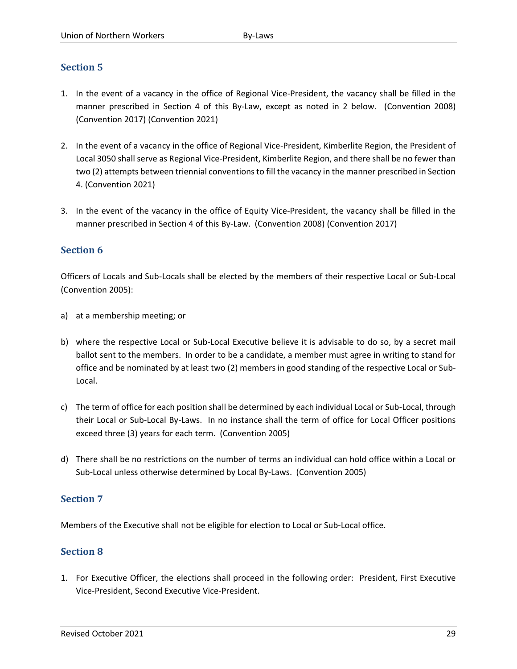- 1. In the event of a vacancy in the office of Regional Vice-President, the vacancy shall be filled in the manner prescribed in Section 4 of this By-Law, except as noted in 2 below. (Convention 2008) (Convention 2017) (Convention 2021)
- 2. In the event of a vacancy in the office of Regional Vice-President, Kimberlite Region, the President of Local 3050 shall serve as Regional Vice-President, Kimberlite Region, and there shall be no fewer than two (2) attempts between triennial conventions to fill the vacancy in the manner prescribed in Section 4. (Convention 2021)
- 3. In the event of the vacancy in the office of Equity Vice-President, the vacancy shall be filled in the manner prescribed in Section 4 of this By-Law. (Convention 2008) (Convention 2017)

# **Section 6**

Officers of Locals and Sub-Locals shall be elected by the members of their respective Local or Sub-Local (Convention 2005):

- a) at a membership meeting; or
- b) where the respective Local or Sub-Local Executive believe it is advisable to do so, by a secret mail ballot sent to the members. In order to be a candidate, a member must agree in writing to stand for office and be nominated by at least two (2) members in good standing of the respective Local or Sub-Local.
- c) The term of office for each position shall be determined by each individual Local or Sub-Local, through their Local or Sub-Local By-Laws. In no instance shall the term of office for Local Officer positions exceed three (3) years for each term. (Convention 2005)
- d) There shall be no restrictions on the number of terms an individual can hold office within a Local or Sub-Local unless otherwise determined by Local By-Laws. (Convention 2005)

# **Section 7**

Members of the Executive shall not be eligible for election to Local or Sub-Local office.

# **Section 8**

1. For Executive Officer, the elections shall proceed in the following order: President, First Executive Vice-President, Second Executive Vice-President.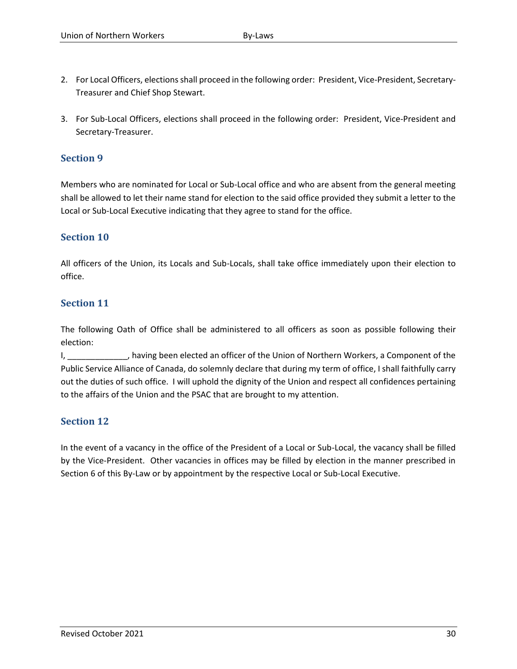- 2. For Local Officers, elections shall proceed in the following order: President, Vice-President, Secretary-Treasurer and Chief Shop Stewart.
- 3. For Sub-Local Officers, elections shall proceed in the following order: President, Vice-President and Secretary-Treasurer.

Members who are nominated for Local or Sub-Local office and who are absent from the general meeting shall be allowed to let their name stand for election to the said office provided they submit a letter to the Local or Sub-Local Executive indicating that they agree to stand for the office.

# **Section 10**

All officers of the Union, its Locals and Sub-Locals, shall take office immediately upon their election to office.

#### **Section 11**

The following Oath of Office shall be administered to all officers as soon as possible following their election:

I, \_\_\_\_\_\_\_\_\_\_\_\_\_, having been elected an officer of the Union of Northern Workers, a Component of the Public Service Alliance of Canada, do solemnly declare that during my term of office, I shall faithfully carry out the duties of such office. I will uphold the dignity of the Union and respect all confidences pertaining to the affairs of the Union and the PSAC that are brought to my attention.

# **Section 12**

In the event of a vacancy in the office of the President of a Local or Sub-Local, the vacancy shall be filled by the Vice-President. Other vacancies in offices may be filled by election in the manner prescribed in Section 6 of this By-Law or by appointment by the respective Local or Sub-Local Executive.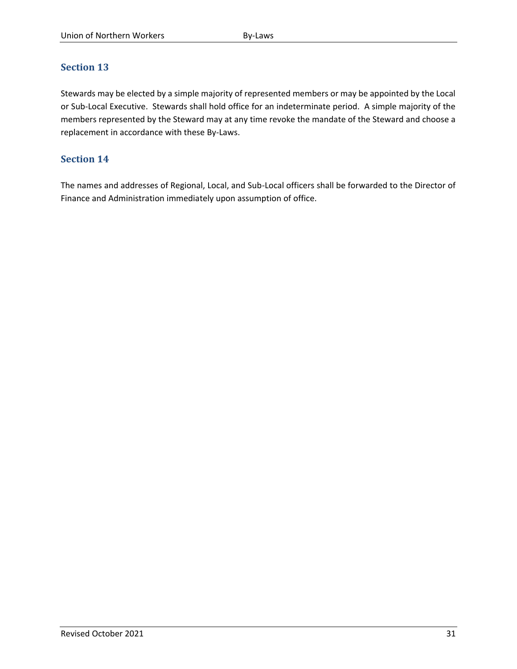Stewards may be elected by a simple majority of represented members or may be appointed by the Local or Sub-Local Executive. Stewards shall hold office for an indeterminate period. A simple majority of the members represented by the Steward may at any time revoke the mandate of the Steward and choose a replacement in accordance with these By-Laws.

# **Section 14**

The names and addresses of Regional, Local, and Sub-Local officers shall be forwarded to the Director of Finance and Administration immediately upon assumption of office.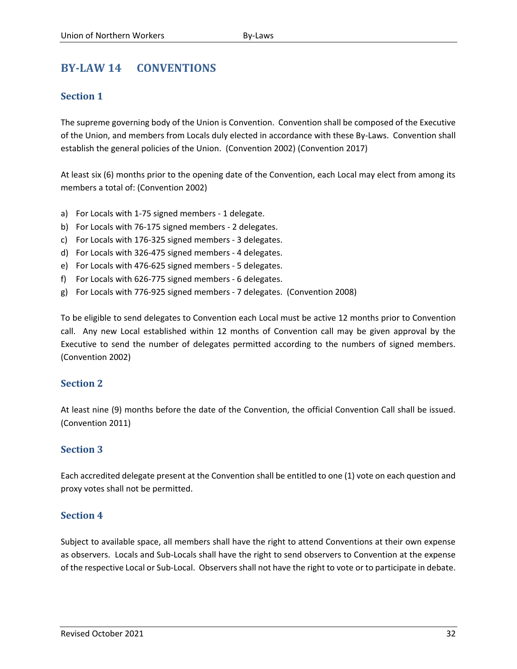# <span id="page-34-0"></span>**BY-LAW 14 CONVENTIONS**

# **Section 1**

The supreme governing body of the Union is Convention. Convention shall be composed of the Executive of the Union, and members from Locals duly elected in accordance with these By-Laws. Convention shall establish the general policies of the Union. (Convention 2002) (Convention 2017)

At least six (6) months prior to the opening date of the Convention, each Local may elect from among its members a total of: (Convention 2002)

- a) For Locals with 1-75 signed members 1 delegate.
- b) For Locals with 76-175 signed members 2 delegates.
- c) For Locals with 176-325 signed members 3 delegates.
- d) For Locals with 326-475 signed members 4 delegates.
- e) For Locals with 476-625 signed members 5 delegates.
- f) For Locals with 626-775 signed members 6 delegates.
- g) For Locals with 776-925 signed members 7 delegates. (Convention 2008)

To be eligible to send delegates to Convention each Local must be active 12 months prior to Convention call. Any new Local established within 12 months of Convention call may be given approval by the Executive to send the number of delegates permitted according to the numbers of signed members. (Convention 2002)

# **Section 2**

At least nine (9) months before the date of the Convention, the official Convention Call shall be issued. (Convention 2011)

#### **Section 3**

Each accredited delegate present at the Convention shall be entitled to one (1) vote on each question and proxy votes shall not be permitted.

#### **Section 4**

Subject to available space, all members shall have the right to attend Conventions at their own expense as observers. Locals and Sub-Locals shall have the right to send observers to Convention at the expense of the respective Local or Sub-Local. Observers shall not have the right to vote or to participate in debate.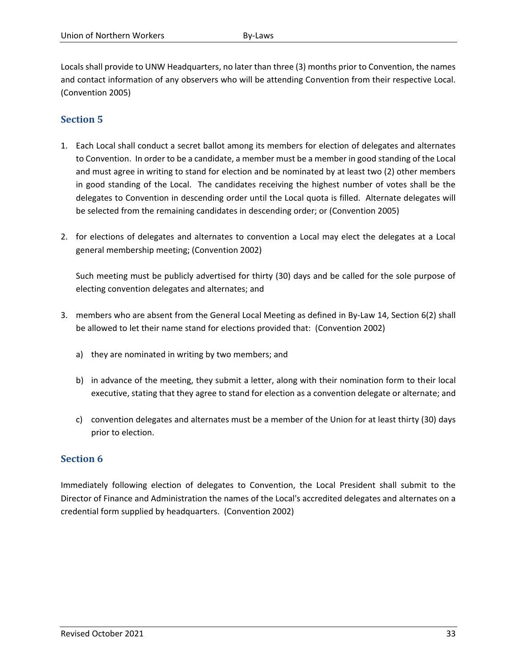Locals shall provide to UNW Headquarters, no later than three (3) months prior to Convention, the names and contact information of any observers who will be attending Convention from their respective Local. (Convention 2005)

# **Section 5**

- 1. Each Local shall conduct a secret ballot among its members for election of delegates and alternates to Convention. In order to be a candidate, a member must be a member in good standing of the Local and must agree in writing to stand for election and be nominated by at least two (2) other members in good standing of the Local. The candidates receiving the highest number of votes shall be the delegates to Convention in descending order until the Local quota is filled. Alternate delegates will be selected from the remaining candidates in descending order; or (Convention 2005)
- 2. for elections of delegates and alternates to convention a Local may elect the delegates at a Local general membership meeting; (Convention 2002)

Such meeting must be publicly advertised for thirty (30) days and be called for the sole purpose of electing convention delegates and alternates; and

- 3. members who are absent from the General Local Meeting as defined in By-Law 14, Section 6(2) shall be allowed to let their name stand for elections provided that: (Convention 2002)
	- a) they are nominated in writing by two members; and
	- b) in advance of the meeting, they submit a letter, along with their nomination form to their local executive, stating that they agree to stand for election as a convention delegate or alternate; and
	- c) convention delegates and alternates must be a member of the Union for at least thirty (30) days prior to election.

# **Section 6**

Immediately following election of delegates to Convention, the Local President shall submit to the Director of Finance and Administration the names of the Local's accredited delegates and alternates on a credential form supplied by headquarters. (Convention 2002)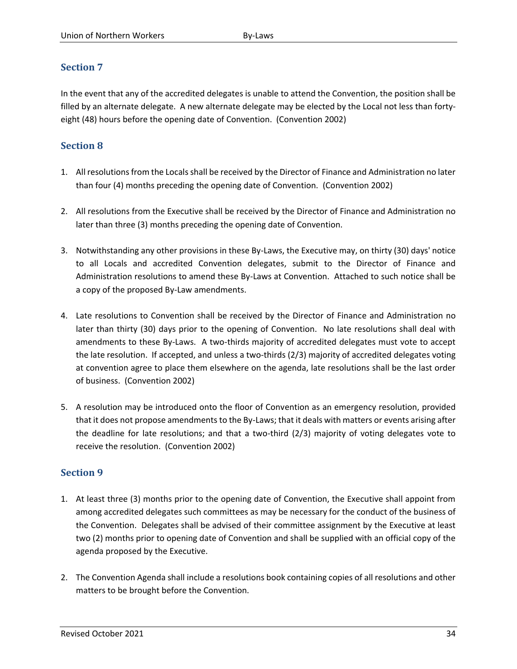In the event that any of the accredited delegates is unable to attend the Convention, the position shall be filled by an alternate delegate. A new alternate delegate may be elected by the Local not less than fortyeight (48) hours before the opening date of Convention. (Convention 2002)

# **Section 8**

- 1. All resolutions from the Locals shall be received by the Director of Finance and Administration no later than four (4) months preceding the opening date of Convention. (Convention 2002)
- 2. All resolutions from the Executive shall be received by the Director of Finance and Administration no later than three (3) months preceding the opening date of Convention.
- 3. Notwithstanding any other provisions in these By-Laws, the Executive may, on thirty (30) days' notice to all Locals and accredited Convention delegates, submit to the Director of Finance and Administration resolutions to amend these By-Laws at Convention. Attached to such notice shall be a copy of the proposed By-Law amendments.
- 4. Late resolutions to Convention shall be received by the Director of Finance and Administration no later than thirty (30) days prior to the opening of Convention. No late resolutions shall deal with amendments to these By-Laws. A two-thirds majority of accredited delegates must vote to accept the late resolution. If accepted, and unless a two-thirds (2/3) majority of accredited delegates voting at convention agree to place them elsewhere on the agenda, late resolutions shall be the last order of business. (Convention 2002)
- 5. A resolution may be introduced onto the floor of Convention as an emergency resolution, provided that it does not propose amendments to the By-Laws; that it deals with matters or events arising after the deadline for late resolutions; and that a two-third (2/3) majority of voting delegates vote to receive the resolution. (Convention 2002)

- 1. At least three (3) months prior to the opening date of Convention, the Executive shall appoint from among accredited delegates such committees as may be necessary for the conduct of the business of the Convention. Delegates shall be advised of their committee assignment by the Executive at least two (2) months prior to opening date of Convention and shall be supplied with an official copy of the agenda proposed by the Executive.
- 2. The Convention Agenda shall include a resolutions book containing copies of all resolutions and other matters to be brought before the Convention.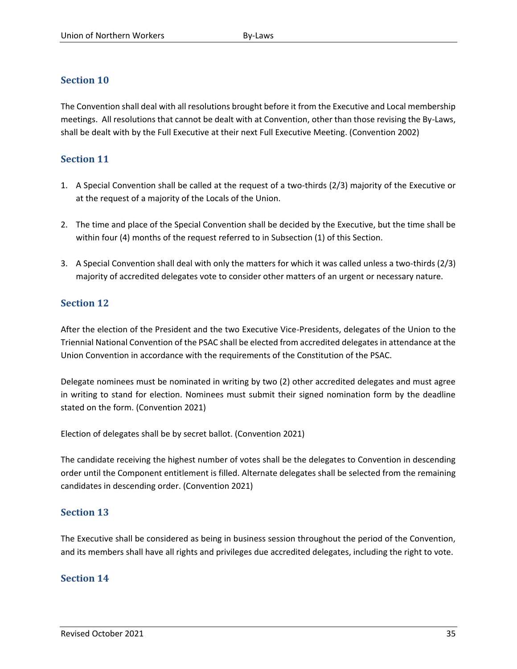The Convention shall deal with all resolutions brought before it from the Executive and Local membership meetings. All resolutions that cannot be dealt with at Convention, other than those revising the By-Laws, shall be dealt with by the Full Executive at their next Full Executive Meeting. (Convention 2002)

# **Section 11**

- 1. A Special Convention shall be called at the request of a two-thirds (2/3) majority of the Executive or at the request of a majority of the Locals of the Union.
- 2. The time and place of the Special Convention shall be decided by the Executive, but the time shall be within four (4) months of the request referred to in Subsection (1) of this Section.
- 3. A Special Convention shall deal with only the matters for which it was called unless a two-thirds (2/3) majority of accredited delegates vote to consider other matters of an urgent or necessary nature.

# **Section 12**

After the election of the President and the two Executive Vice-Presidents, delegates of the Union to the Triennial National Convention of the PSAC shall be elected from accredited delegates in attendance at the Union Convention in accordance with the requirements of the Constitution of the PSAC.

Delegate nominees must be nominated in writing by two (2) other accredited delegates and must agree in writing to stand for election. Nominees must submit their signed nomination form by the deadline stated on the form. (Convention 2021)

Election of delegates shall be by secret ballot. (Convention 2021)

The candidate receiving the highest number of votes shall be the delegates to Convention in descending order until the Component entitlement is filled. Alternate delegates shall be selected from the remaining candidates in descending order. (Convention 2021)

# **Section 13**

The Executive shall be considered as being in business session throughout the period of the Convention, and its members shall have all rights and privileges due accredited delegates, including the right to vote.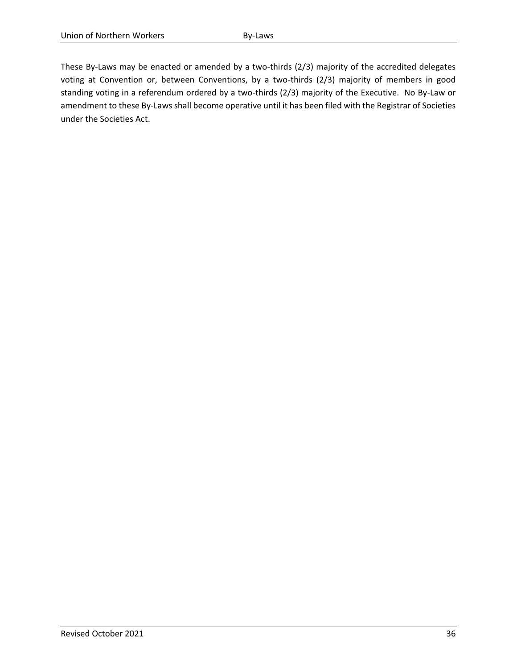These By-Laws may be enacted or amended by a two-thirds (2/3) majority of the accredited delegates voting at Convention or, between Conventions, by a two-thirds (2/3) majority of members in good standing voting in a referendum ordered by a two-thirds (2/3) majority of the Executive. No By-Law or amendment to these By-Laws shall become operative until it has been filed with the Registrar of Societies under the Societies Act.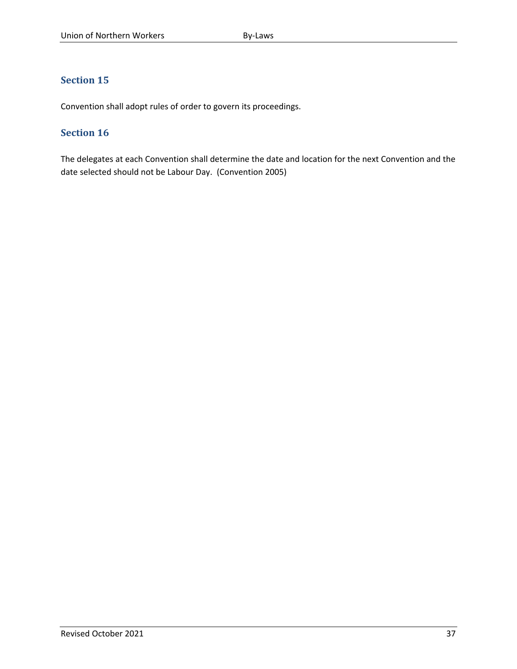Convention shall adopt rules of order to govern its proceedings.

# **Section 16**

The delegates at each Convention shall determine the date and location for the next Convention and the date selected should not be Labour Day. (Convention 2005)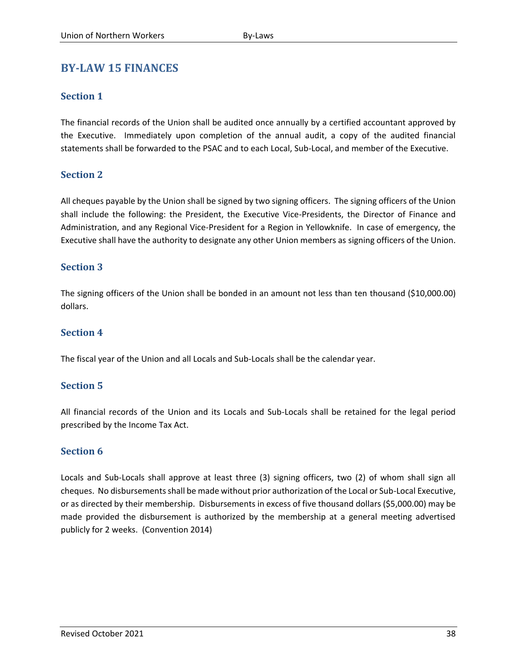# <span id="page-40-0"></span>**BY-LAW 15 FINANCES**

## **Section 1**

The financial records of the Union shall be audited once annually by a certified accountant approved by the Executive. Immediately upon completion of the annual audit, a copy of the audited financial statements shall be forwarded to the PSAC and to each Local, Sub-Local, and member of the Executive.

# **Section 2**

All cheques payable by the Union shall be signed by two signing officers. The signing officers of the Union shall include the following: the President, the Executive Vice-Presidents, the Director of Finance and Administration, and any Regional Vice-President for a Region in Yellowknife. In case of emergency, the Executive shall have the authority to designate any other Union members as signing officers of the Union.

#### **Section 3**

The signing officers of the Union shall be bonded in an amount not less than ten thousand (\$10,000.00) dollars.

# **Section 4**

The fiscal year of the Union and all Locals and Sub-Locals shall be the calendar year.

# **Section 5**

All financial records of the Union and its Locals and Sub-Locals shall be retained for the legal period prescribed by the Income Tax Act.

#### **Section 6**

Locals and Sub-Locals shall approve at least three (3) signing officers, two (2) of whom shall sign all cheques. No disbursements shall be made without prior authorization of the Local or Sub-Local Executive, or as directed by their membership. Disbursements in excess of five thousand dollars (\$5,000.00) may be made provided the disbursement is authorized by the membership at a general meeting advertised publicly for 2 weeks. (Convention 2014)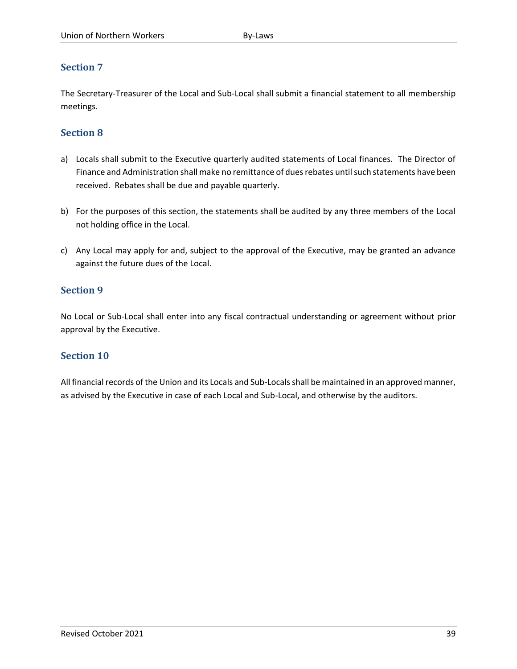The Secretary-Treasurer of the Local and Sub-Local shall submit a financial statement to all membership meetings.

# **Section 8**

- a) Locals shall submit to the Executive quarterly audited statements of Local finances. The Director of Finance and Administration shall make no remittance of dues rebates until such statements have been received. Rebates shall be due and payable quarterly.
- b) For the purposes of this section, the statements shall be audited by any three members of the Local not holding office in the Local.
- c) Any Local may apply for and, subject to the approval of the Executive, may be granted an advance against the future dues of the Local.

# **Section 9**

No Local or Sub-Local shall enter into any fiscal contractual understanding or agreement without prior approval by the Executive.

# **Section 10**

All financial records of the Union and its Locals and Sub-Locals shall be maintained in an approved manner, as advised by the Executive in case of each Local and Sub-Local, and otherwise by the auditors.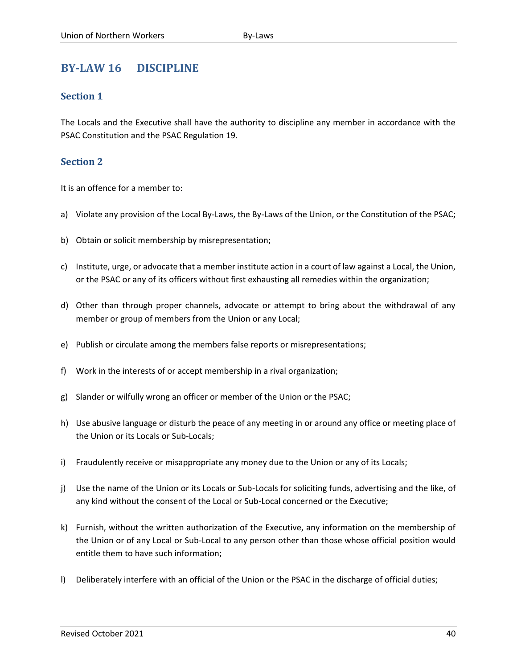# <span id="page-42-0"></span>**BY-LAW 16 DISCIPLINE**

## **Section 1**

The Locals and the Executive shall have the authority to discipline any member in accordance with the PSAC Constitution and the PSAC Regulation 19.

# **Section 2**

It is an offence for a member to:

- a) Violate any provision of the Local By-Laws, the By-Laws of the Union, or the Constitution of the PSAC;
- b) Obtain or solicit membership by misrepresentation;
- c) Institute, urge, or advocate that a member institute action in a court of law against a Local, the Union, or the PSAC or any of its officers without first exhausting all remedies within the organization;
- d) Other than through proper channels, advocate or attempt to bring about the withdrawal of any member or group of members from the Union or any Local;
- e) Publish or circulate among the members false reports or misrepresentations;
- f) Work in the interests of or accept membership in a rival organization;
- g) Slander or wilfully wrong an officer or member of the Union or the PSAC;
- h) Use abusive language or disturb the peace of any meeting in or around any office or meeting place of the Union or its Locals or Sub-Locals;
- i) Fraudulently receive or misappropriate any money due to the Union or any of its Locals;
- j) Use the name of the Union or its Locals or Sub-Locals for soliciting funds, advertising and the like, of any kind without the consent of the Local or Sub-Local concerned or the Executive;
- k) Furnish, without the written authorization of the Executive, any information on the membership of the Union or of any Local or Sub-Local to any person other than those whose official position would entitle them to have such information;
- l) Deliberately interfere with an official of the Union or the PSAC in the discharge of official duties;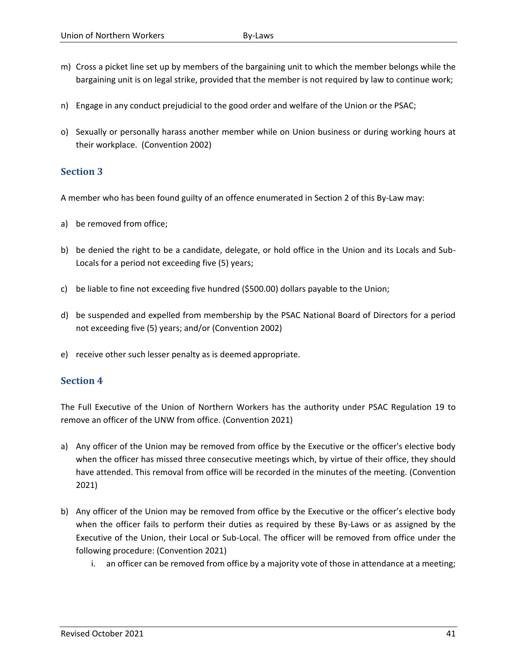- m) Cross a picket line set up by members of the bargaining unit to which the member belongs while the bargaining unit is on legal strike, provided that the member is not required by law to continue work;
- n) Engage in any conduct prejudicial to the good order and welfare of the Union or the PSAC;
- o) Sexually or personally harass another member while on Union business or during working hours at their workplace. (Convention 2002)

A member who has been found guilty of an offence enumerated in Section 2 of this By-Law may:

- a) be removed from office;
- b) be denied the right to be a candidate, delegate, or hold office in the Union and its Locals and Sub-Locals for a period not exceeding five (5) years;
- c) be liable to fine not exceeding five hundred (\$500.00) dollars payable to the Union;
- d) be suspended and expelled from membership by the PSAC National Board of Directors for a period not exceeding five (5) years; and/or (Convention 2002)
- e) receive other such lesser penalty as is deemed appropriate.

#### **Section 4**

The Full Executive of the Union of Northern Workers has the authority under PSAC Regulation 19 to remove an officer of the UNW from office. (Convention 2021)

- a) Any officer of the Union may be removed from office by the Executive or the officer's elective body when the officer has missed three consecutive meetings which, by virtue of their office, they should have attended. This removal from office will be recorded in the minutes of the meeting. (Convention 2021)
- b) Any officer of the Union may be removed from office by the Executive or the officer's elective body when the officer fails to perform their duties as required by these By-Laws or as assigned by the Executive of the Union, their Local or Sub-Local. The officer will be removed from office under the following procedure: (Convention 2021)
	- i. an officer can be removed from office by a majority vote of those in attendance at a meeting;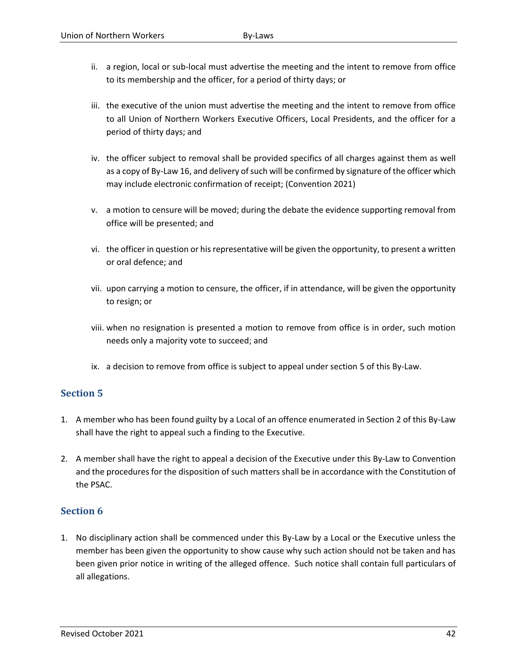- ii. a region, local or sub-local must advertise the meeting and the intent to remove from office to its membership and the officer, for a period of thirty days; or
- iii. the executive of the union must advertise the meeting and the intent to remove from office to all Union of Northern Workers Executive Officers, Local Presidents, and the officer for a period of thirty days; and
- iv. the officer subject to removal shall be provided specifics of all charges against them as well as a copy of By-Law 16, and delivery of such will be confirmed by signature of the officer which may include electronic confirmation of receipt; (Convention 2021)
- v. a motion to censure will be moved; during the debate the evidence supporting removal from office will be presented; and
- vi. the officer in question or his representative will be given the opportunity, to present a written or oral defence; and
- vii. upon carrying a motion to censure, the officer, if in attendance, will be given the opportunity to resign; or
- viii. when no resignation is presented a motion to remove from office is in order, such motion needs only a majority vote to succeed; and
- ix. a decision to remove from office is subject to appeal under section 5 of this By-Law.

- 1. A member who has been found guilty by a Local of an offence enumerated in Section 2 of this By-Law shall have the right to appeal such a finding to the Executive.
- 2. A member shall have the right to appeal a decision of the Executive under this By-Law to Convention and the procedures for the disposition of such matters shall be in accordance with the Constitution of the PSAC.

# **Section 6**

1. No disciplinary action shall be commenced under this By-Law by a Local or the Executive unless the member has been given the opportunity to show cause why such action should not be taken and has been given prior notice in writing of the alleged offence. Such notice shall contain full particulars of all allegations.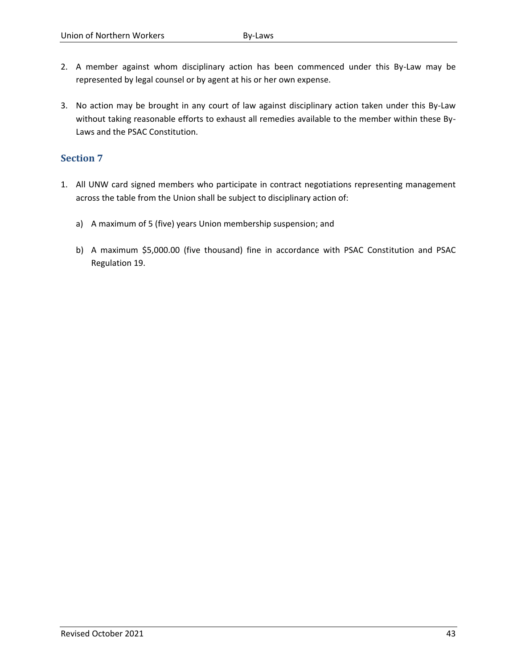- 2. A member against whom disciplinary action has been commenced under this By-Law may be represented by legal counsel or by agent at his or her own expense.
- 3. No action may be brought in any court of law against disciplinary action taken under this By-Law without taking reasonable efforts to exhaust all remedies available to the member within these By-Laws and the PSAC Constitution.

- 1. All UNW card signed members who participate in contract negotiations representing management across the table from the Union shall be subject to disciplinary action of:
	- a) A maximum of 5 (five) years Union membership suspension; and
	- b) A maximum \$5,000.00 (five thousand) fine in accordance with PSAC Constitution and PSAC Regulation 19.